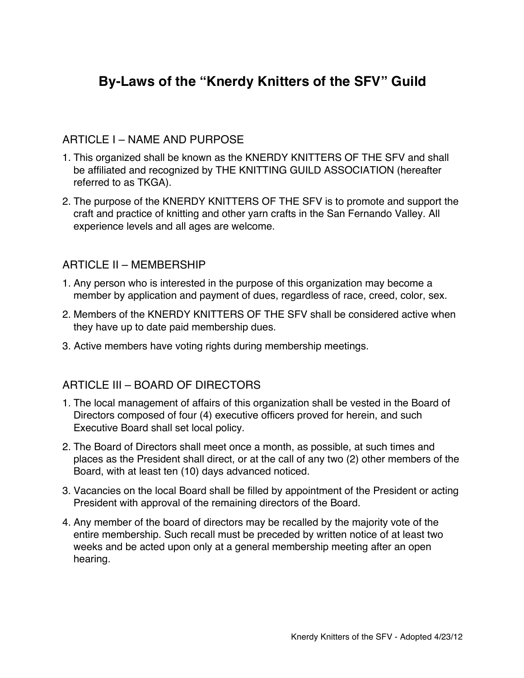# **By-Laws of the "Knerdy Knitters of the SFV" Guild**

#### ARTICLE I – NAME AND PURPOSE

- 1. This organized shall be known as the KNERDY KNITTERS OF THE SFV and shall be affiliated and recognized by THE KNITTING GUILD ASSOCIATION (hereafter referred to as TKGA).
- 2. The purpose of the KNERDY KNITTERS OF THE SFV is to promote and support the craft and practice of knitting and other yarn crafts in the San Fernando Valley. All experience levels and all ages are welcome.

#### ARTICLE II – MEMBERSHIP

- 1. Any person who is interested in the purpose of this organization may become a member by application and payment of dues, regardless of race, creed, color, sex.
- 2. Members of the KNERDY KNITTERS OF THE SFV shall be considered active when they have up to date paid membership dues.
- 3. Active members have voting rights during membership meetings.

### ARTICLE III – BOARD OF DIRECTORS

- 1. The local management of affairs of this organization shall be vested in the Board of Directors composed of four (4) executive officers proved for herein, and such Executive Board shall set local policy.
- 2. The Board of Directors shall meet once a month, as possible, at such times and places as the President shall direct, or at the call of any two (2) other members of the Board, with at least ten (10) days advanced noticed.
- 3. Vacancies on the local Board shall be filled by appointment of the President or acting President with approval of the remaining directors of the Board.
- 4. Any member of the board of directors may be recalled by the majority vote of the entire membership. Such recall must be preceded by written notice of at least two weeks and be acted upon only at a general membership meeting after an open hearing.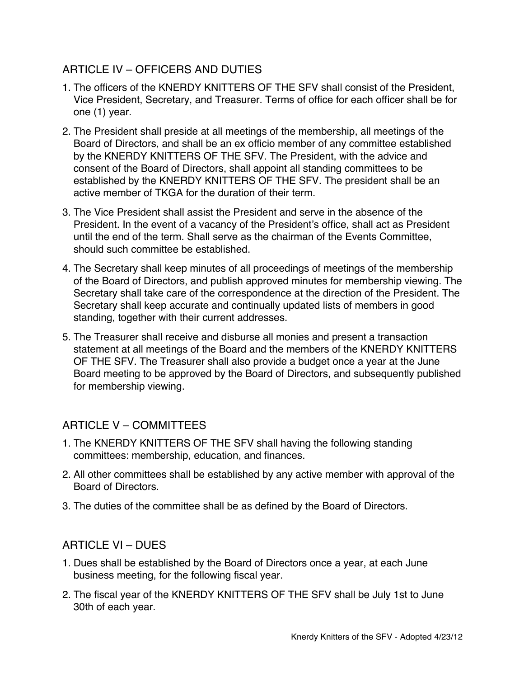## ARTICLE IV – OFFICERS AND DUTIES

- 1. The officers of the KNERDY KNITTERS OF THE SFV shall consist of the President, Vice President, Secretary, and Treasurer. Terms of office for each officer shall be for one (1) year.
- 2. The President shall preside at all meetings of the membership, all meetings of the Board of Directors, and shall be an ex officio member of any committee established by the KNERDY KNITTERS OF THE SFV. The President, with the advice and consent of the Board of Directors, shall appoint all standing committees to be established by the KNERDY KNITTERS OF THE SFV. The president shall be an active member of TKGA for the duration of their term.
- 3. The Vice President shall assist the President and serve in the absence of the President. In the event of a vacancy of the President's office, shall act as President until the end of the term. Shall serve as the chairman of the Events Committee, should such committee be established.
- 4. The Secretary shall keep minutes of all proceedings of meetings of the membership of the Board of Directors, and publish approved minutes for membership viewing. The Secretary shall take care of the correspondence at the direction of the President. The Secretary shall keep accurate and continually updated lists of members in good standing, together with their current addresses.
- 5. The Treasurer shall receive and disburse all monies and present a transaction statement at all meetings of the Board and the members of the KNERDY KNITTERS OF THE SFV. The Treasurer shall also provide a budget once a year at the June Board meeting to be approved by the Board of Directors, and subsequently published for membership viewing.

### ARTICLE V – COMMITTEES

- 1. The KNERDY KNITTERS OF THE SFV shall having the following standing committees: membership, education, and finances.
- 2. All other committees shall be established by any active member with approval of the Board of Directors.
- 3. The duties of the committee shall be as defined by the Board of Directors.

### ARTICLE VI – DUES

- 1. Dues shall be established by the Board of Directors once a year, at each June business meeting, for the following fiscal year.
- 2. The fiscal year of the KNERDY KNITTERS OF THE SFV shall be July 1st to June 30th of each year.